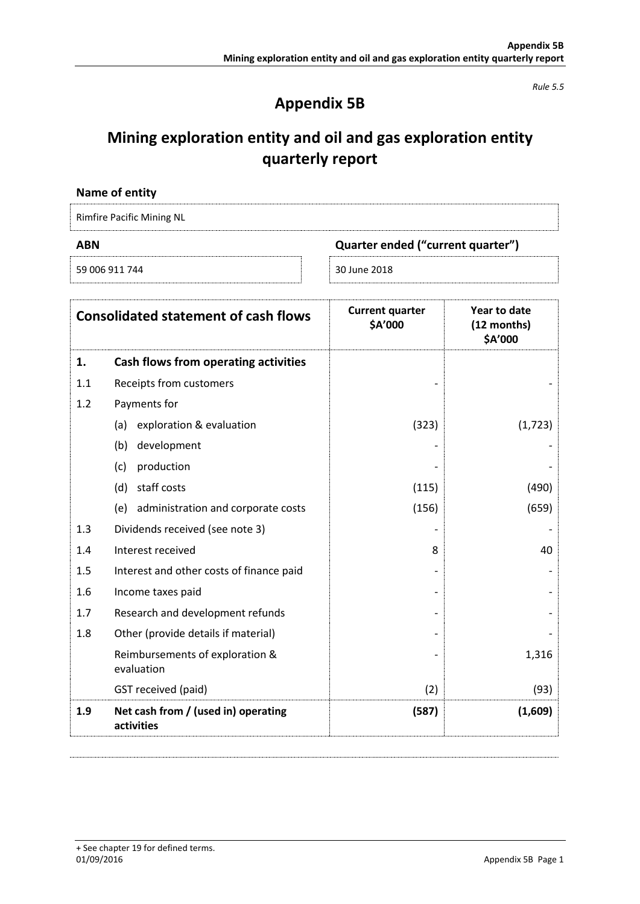*Rule 5.5*

## **Appendix 5B**

# **Mining exploration entity and oil and gas exploration entity quarterly report**

| Name of entity            |  |
|---------------------------|--|
| Rimfire Pacific Mining NL |  |

| ABN            | Quarter ended ("current quarter") |  |
|----------------|-----------------------------------|--|
| 59 006 911 744 | 30 June 2018                      |  |

| <b>Consolidated statement of cash flows</b> |                                                   | <b>Current quarter</b><br>\$A'000 | Year to date<br>(12 months)<br>\$A'000 |
|---------------------------------------------|---------------------------------------------------|-----------------------------------|----------------------------------------|
| 1.                                          | Cash flows from operating activities              |                                   |                                        |
| 1.1                                         | Receipts from customers                           |                                   |                                        |
| 1.2                                         | Payments for                                      |                                   |                                        |
|                                             | exploration & evaluation<br>(a)                   | (323)                             | (1, 723)                               |
|                                             | development<br>(b)                                |                                   |                                        |
|                                             | production<br>(c)                                 |                                   |                                        |
|                                             | staff costs<br>(d)                                | (115)                             | (490)                                  |
|                                             | administration and corporate costs<br>(e)         | (156)                             | (659)                                  |
| 1.3                                         | Dividends received (see note 3)                   |                                   |                                        |
| 1.4                                         | Interest received                                 | 8                                 | 40                                     |
| 1.5                                         | Interest and other costs of finance paid          |                                   |                                        |
| 1.6                                         | Income taxes paid                                 |                                   |                                        |
| 1.7                                         | Research and development refunds                  |                                   |                                        |
| 1.8                                         | Other (provide details if material)               |                                   |                                        |
|                                             | Reimbursements of exploration &<br>evaluation     |                                   | 1,316                                  |
|                                             | GST received (paid)                               | (2)                               | (93)                                   |
| 1.9                                         | Net cash from / (used in) operating<br>activities | (587)                             | (1,609)                                |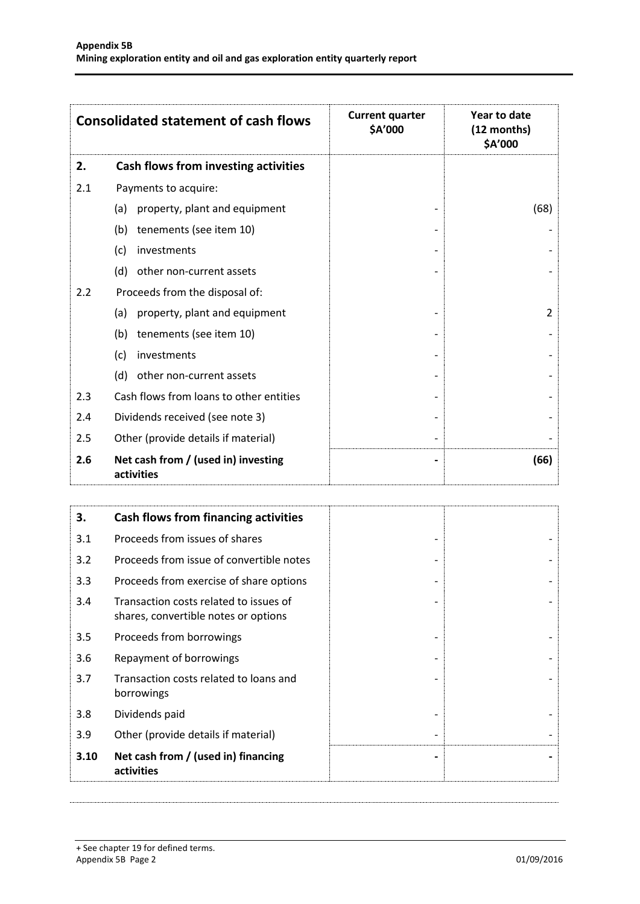| <b>Consolidated statement of cash flows</b> |                                                                                | <b>Current quarter</b><br>\$A'000 | Year to date<br>(12 months)<br>\$A'000 |
|---------------------------------------------|--------------------------------------------------------------------------------|-----------------------------------|----------------------------------------|
| 2.                                          | Cash flows from investing activities                                           |                                   |                                        |
| 2.1                                         | Payments to acquire:                                                           |                                   |                                        |
|                                             | property, plant and equipment<br>(a)                                           |                                   | (68)                                   |
|                                             | tenements (see item 10)<br>(b)                                                 |                                   |                                        |
|                                             | investments<br>(c)                                                             |                                   |                                        |
|                                             | other non-current assets<br>(d)                                                |                                   |                                        |
| 2.2                                         | Proceeds from the disposal of:                                                 |                                   |                                        |
|                                             | property, plant and equipment<br>(a)                                           |                                   | 2                                      |
|                                             | tenements (see item 10)<br>(b)                                                 |                                   |                                        |
|                                             | investments<br>(c)                                                             |                                   |                                        |
|                                             | (d)<br>other non-current assets                                                |                                   |                                        |
| 2.3                                         | Cash flows from loans to other entities                                        |                                   |                                        |
| 2.4                                         | Dividends received (see note 3)                                                |                                   |                                        |
| 2.5                                         | Other (provide details if material)                                            |                                   |                                        |
| 2.6                                         | Net cash from / (used in) investing<br>activities                              |                                   | (66)                                   |
|                                             |                                                                                |                                   |                                        |
| 3.                                          | <b>Cash flows from financing activities</b>                                    |                                   |                                        |
| 3.1                                         | Proceeds from issues of shares                                                 |                                   |                                        |
| 3.2                                         | Proceeds from issue of convertible notes                                       |                                   |                                        |
| 3.3                                         | Proceeds from exercise of share options                                        |                                   |                                        |
| 3.4                                         | Transaction costs related to issues of<br>shares, convertible notes or options |                                   |                                        |
| 3.5                                         | Proceeds from borrowings                                                       |                                   |                                        |
| 3.6                                         | Repayment of borrowings                                                        |                                   |                                        |
| 3.7                                         | Transaction costs related to loans and<br>borrowings                           |                                   |                                        |

3.8 Dividends paid

3.9 Other (provide details if material)  $\overline{\phantom{a}}$  -  $\overline{\phantom{a}}$  -

**3.10 Net cash from / (used in) financing activities**

**- -**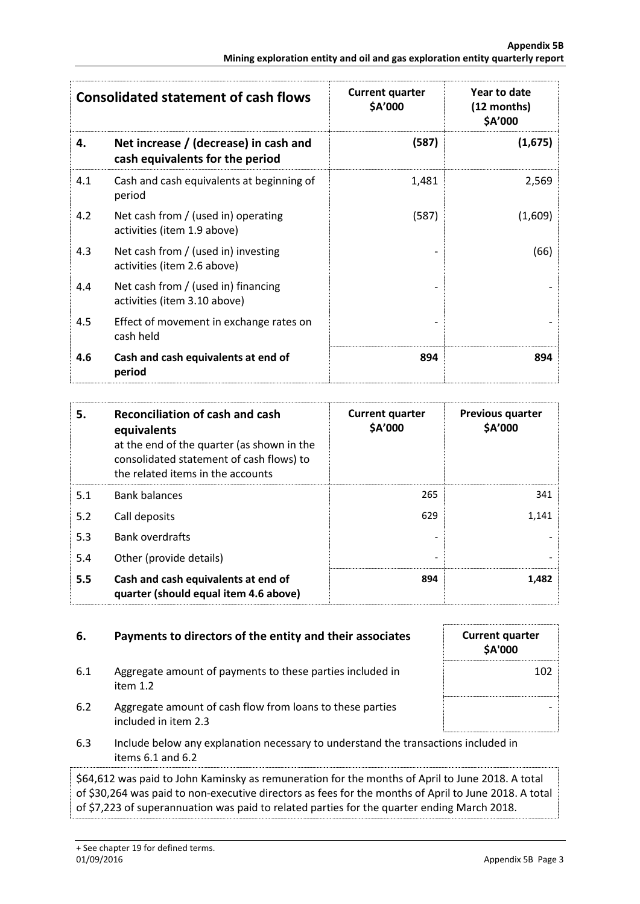| <b>Consolidated statement of cash flows</b> |                                                                          | <b>Current quarter</b><br>\$A'000 | Year to date<br>(12 months)<br>\$A'000 |
|---------------------------------------------|--------------------------------------------------------------------------|-----------------------------------|----------------------------------------|
| 4.                                          | Net increase / (decrease) in cash and<br>cash equivalents for the period | (587)                             | (1,675)                                |
| 4.1                                         | Cash and cash equivalents at beginning of<br>period                      | 1,481                             | 2,569                                  |
| 4.2                                         | Net cash from / (used in) operating<br>activities (item 1.9 above)       | (587)                             | (1,609)                                |
| 4.3                                         | Net cash from / (used in) investing<br>activities (item 2.6 above)       |                                   | (66)                                   |
| 4.4                                         | Net cash from / (used in) financing<br>activities (item 3.10 above)      |                                   |                                        |
| 4.5                                         | Effect of movement in exchange rates on<br>cash held                     |                                   |                                        |
| 4.6                                         | Cash and cash equivalents at end of<br>period                            | 894                               | 894                                    |

| 5.  | <b>Reconciliation of cash and cash</b><br>equivalents<br>at the end of the quarter (as shown in the<br>consolidated statement of cash flows) to<br>the related items in the accounts | <b>Current quarter</b><br>\$A'000 | <b>Previous quarter</b><br>\$A'000 |
|-----|--------------------------------------------------------------------------------------------------------------------------------------------------------------------------------------|-----------------------------------|------------------------------------|
| 5.1 | <b>Bank balances</b>                                                                                                                                                                 | 265                               | 341                                |
| 5.2 | Call deposits                                                                                                                                                                        | 629                               | 1,141                              |
| 5.3 | <b>Bank overdrafts</b>                                                                                                                                                               |                                   |                                    |
| 5.4 | Other (provide details)                                                                                                                                                              | $\qquad \qquad \blacksquare$      |                                    |
| 5.5 | Cash and cash equivalents at end of<br>quarter (should equal item 4.6 above)                                                                                                         | 894                               | 1.482                              |

## **6.** Payments to directors of the entity and their associates

- 6.1 Aggregate amount of payments to these parties included in item 1.2
- 6.2 Aggregate amount of cash flow from loans to these parties included in item 2.3
- 6.3 Include below any explanation necessary to understand the transactions included in items 6.1 and 6.2

\$64,612 was paid to John Kaminsky as remuneration for the months of April to June 2018. A total of \$30,264 was paid to non-executive directors as fees for the months of April to June 2018. A total of \$7,223 of superannuation was paid to related parties for the quarter ending March 2018.

| <b>Current quarter</b><br>\$A'000 |  |
|-----------------------------------|--|
| 102                               |  |
|                                   |  |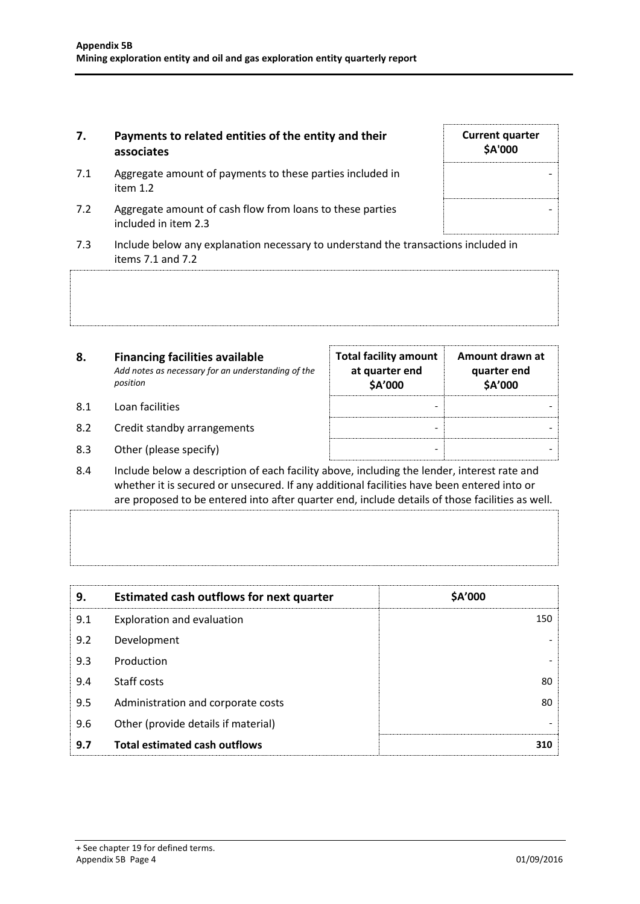#### **7. Payments to related entities of the entity and their associates**

- 7.1 Aggregate amount of payments to these parties included in item 1.2
- 7.2 Aggregate amount of cash flow from loans to these parties included in item 2.3
- 7.3 Include below any explanation necessary to understand the transactions included in items 7.1 and 7.2

| 8.  | <b>Financing facilities available</b><br>Add notes as necessary for an understanding of the<br>position | <b>Total facility amount</b><br>at quarter end<br><b>\$A'000</b> | Amount drawn at<br>quarter end<br><b>\$A'000</b> |
|-----|---------------------------------------------------------------------------------------------------------|------------------------------------------------------------------|--------------------------------------------------|
| 8.1 | Loan facilities                                                                                         |                                                                  |                                                  |
| 8.2 | Credit standby arrangements                                                                             |                                                                  |                                                  |
| 8.3 | Other (please specify)                                                                                  |                                                                  |                                                  |

8.4 Include below a description of each facility above, including the lender, interest rate and whether it is secured or unsecured. If any additional facilities have been entered into or are proposed to be entered into after quarter end, include details of those facilities as well.

| 9.  | Estimated cash outflows for next quarter | \$A'000 |
|-----|------------------------------------------|---------|
| 9.1 | Exploration and evaluation               | 150     |
| 9.2 | Development                              |         |
| 9.3 | Production                               |         |
| 9.4 | Staff costs                              | 80      |
| 9.5 | Administration and corporate costs       | 80      |
| 9.6 | Other (provide details if material)      |         |
| 9.7 | <b>Total estimated cash outflows</b>     | 310     |